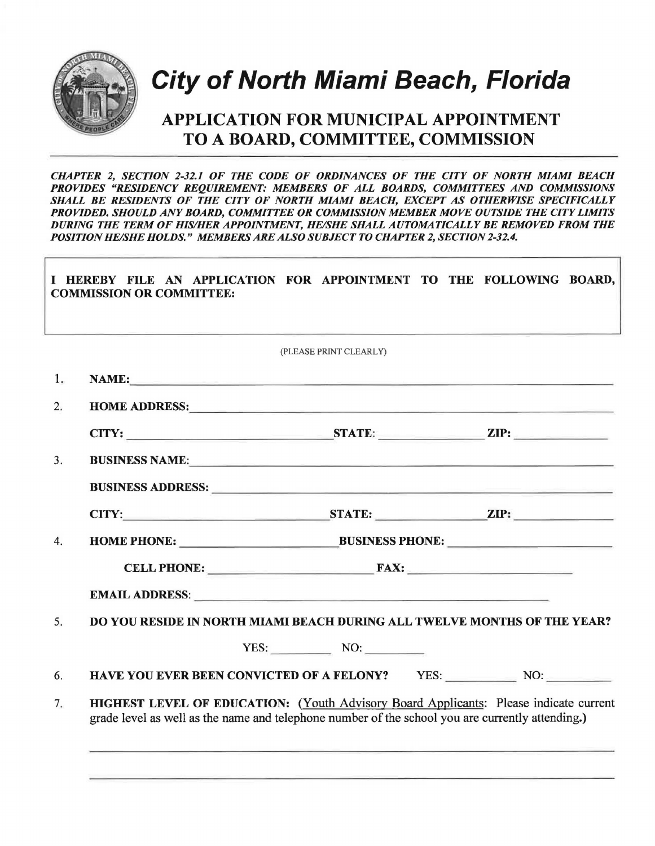

## **City of North Miami Beach, Florida**  City or North Miami Beach, Florida

## APPLICATION FOR MUNICIPAL APPOINTMENT TO A BOARD, COMMITTEE, COMMISSION

*CHAPTER 2, SECTION 2-32.1 OF THE CODE OF ORDINANCES OF THE CITY OF NORTH MIAMI BEACH*  PROVIDES "RESIDENCY REQUIREMENT: MEMBERS OF ALL BOARDS, COMMITTEES AND COMMISSIONS SHALL BE RESIDENTS OF THE CITY OF NORTH MIAMI BEACH, EXCEPT AS OTHERWISE SPECIFICALLY PROVIDED. SHOULD ANY BOARD, COMMITTEE OR COMMISSION MEMBER MOVE OUTSIDE THE CITY LIMITS DURING THE TERM OF HIS/HER APPOINTMENT, HE/SHE SHALL AUTOMATICALLY BE REMOVED FROM THE POSITION HE/SHE HOLDS." MEMBERS ARE ALSO SUBJECT TO CHAPTER 2, SECTION 2-32.4.

|    | I HEREBY FILE AN APPLICATION FOR APPOINTMENT TO THE FOLLOWING BOARD,<br><b>COMMISSION OR COMMITTEE:</b>                                                                                                                             |
|----|-------------------------------------------------------------------------------------------------------------------------------------------------------------------------------------------------------------------------------------|
|    |                                                                                                                                                                                                                                     |
|    | (PLEASE PRINT CLEARLY)                                                                                                                                                                                                              |
| 1. | NAME: The contract of the contract of the contract of the contract of the contract of the contract of the contract of the contract of the contract of the contract of the contract of the contract of the contract of the cont      |
| 2. | HOME ADDRESS: New York Contract to the Contract of the Contract of the Contract of the Contract of the Contract of the Contract of the Contract of the Contract of the Contract of the Contract of the Contract of the Contrac      |
|    |                                                                                                                                                                                                                                     |
| 3. | BUSINESS NAME:                                                                                                                                                                                                                      |
|    | <b>BUSINESS ADDRESS:</b> No. 2006. The Second Second Second Second Second Second Second Second Second Second Second Second Second Second Second Second Second Second Second Second Second Second Second Second Second Second Second |
|    | CITY: STATE: ZIP:                                                                                                                                                                                                                   |
| 4. | HOME PHONE: BUSINESS PHONE:                                                                                                                                                                                                         |
|    | CELL PHONE: FAX:                                                                                                                                                                                                                    |
|    |                                                                                                                                                                                                                                     |
| 5. | DO YOU RESIDE IN NORTH MIAMI BEACH DURING ALL TWELVE MONTHS OF THE YEAR?                                                                                                                                                            |
|    | $YES:$ NO:                                                                                                                                                                                                                          |
| 6. | HAVE YOU EVER BEEN CONVICTED OF A FELONY? YES: NO: NO:                                                                                                                                                                              |
| 7. | <b>HIGHEST LEVEL OF EDUCATION:</b> (Youth Advisory Board Applicants: Please indicate current<br>grade level as well as the name and telephone number of the school you are currently attending.)                                    |
|    |                                                                                                                                                                                                                                     |